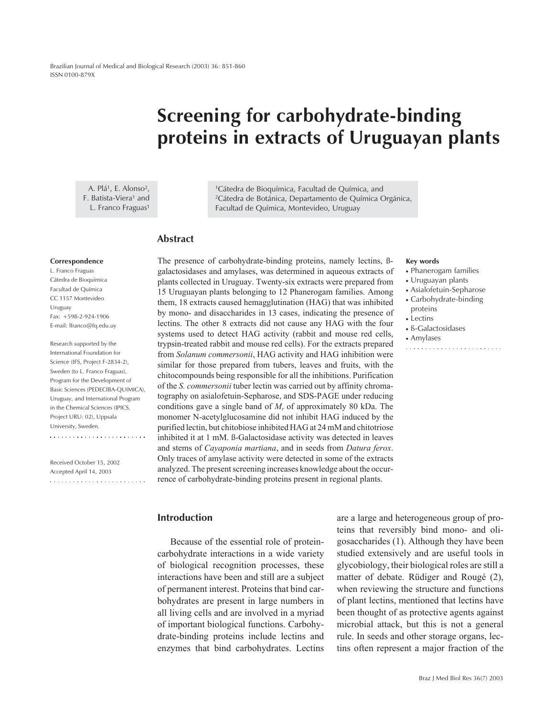# **Screening for carbohydrate-binding proteins in extracts of Uruguayan plants**

A. Plá<sup>1</sup>, E. Alonso<sup>2</sup>, F. Batista-Viera<sup>1</sup> and L. Franco Fraguas<sup>1</sup>

1Cátedra de Bioquímica, Facultad de Química, and 2Cátedra de Botánica, Departamento de Química Orgánica, Facultad de Química, Montevideo, Uruguay

# **Abstract**

#### **Correspondence**

L. Franco Fraguas Cátedra de Bioquímica Facultad de Química CC 1157 Montevideo Uruguay Fax: +598-2-924-1906 E-mail: lfranco@fq.edu.uy

Research supported by the International Foundation for Science (IFS, Project F-2834-2), Sweden (to L. Franco Fraguas), Program for the Development of Basic Sciences (PEDECIBA-QUIMICA), Uruguay, and International Program in the Chemical Sciences (IPICS, Project URU: 02), Uppsala University, Sweden. 

Received October 15, 2002 Accepted April 14, 2003 

The presence of carbohydrate-binding proteins, namely lectins, ßgalactosidases and amylases, was determined in aqueous extracts of plants collected in Uruguay. Twenty-six extracts were prepared from 15 Uruguayan plants belonging to 12 Phanerogam families. Among them, 18 extracts caused hemagglutination (HAG) that was inhibited by mono- and disaccharides in 13 cases, indicating the presence of lectins. The other 8 extracts did not cause any HAG with the four systems used to detect HAG activity (rabbit and mouse red cells, trypsin-treated rabbit and mouse red cells). For the extracts prepared from *Solanum commersonii*, HAG activity and HAG inhibition were similar for those prepared from tubers, leaves and fruits, with the chitocompounds being responsible for all the inhibitions. Purification of the *S. commersonii* tuber lectin was carried out by affinity chromatography on asialofetuin-Sepharose, and SDS-PAGE under reducing conditions gave a single band of *Mr* of approximately 80 kDa. The monomer N-acetylglucosamine did not inhibit HAG induced by the purified lectin, but chitobiose inhibited HAG at 24 mM and chitotriose inhibited it at 1 mM. ß-Galactosidase activity was detected in leaves and stems of *Cayaponia martiana*, and in seeds from *Datura ferox*. Only traces of amylase activity were detected in some of the extracts analyzed. The present screening increases knowledge about the occurrence of carbohydrate-binding proteins present in regional plants.

# **Introduction**

Because of the essential role of proteincarbohydrate interactions in a wide variety of biological recognition processes, these interactions have been and still are a subject of permanent interest. Proteins that bind carbohydrates are present in large numbers in all living cells and are involved in a myriad of important biological functions. Carbohydrate-binding proteins include lectins and enzymes that bind carbohydrates. Lectins are a large and heterogeneous group of proteins that reversibly bind mono- and oligosaccharides (1). Although they have been studied extensively and are useful tools in glycobiology, their biological roles are still a matter of debate. Rüdiger and Rougé (2), when reviewing the structure and functions of plant lectins, mentioned that lectins have been thought of as protective agents against microbial attack, but this is not a general rule. In seeds and other storage organs, lectins often represent a major fraction of the

#### **Key words**

- Phanerogam families
- Uruguayan plants
- Asialofetuin-Sepharose
- Carbohydrate-binding proteins

- Lectins
- ß-Galactosidases
- Amylases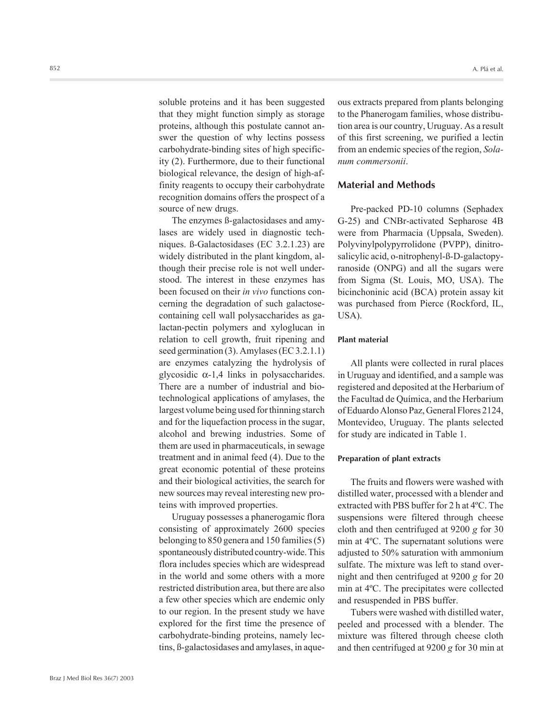soluble proteins and it has been suggested that they might function simply as storage proteins, although this postulate cannot answer the question of why lectins possess carbohydrate-binding sites of high specificity (2). Furthermore, due to their functional biological relevance, the design of high-affinity reagents to occupy their carbohydrate recognition domains offers the prospect of a source of new drugs.

The enzymes ß-galactosidases and amylases are widely used in diagnostic techniques. ß-Galactosidases (EC 3.2.1.23) are widely distributed in the plant kingdom, although their precise role is not well understood. The interest in these enzymes has been focused on their *in vivo* functions concerning the degradation of such galactosecontaining cell wall polysaccharides as galactan-pectin polymers and xyloglucan in relation to cell growth, fruit ripening and seed germination (3). Amylases (EC 3.2.1.1) are enzymes catalyzing the hydrolysis of glycosidic  $\alpha$ -1,4 links in polysaccharides. There are a number of industrial and biotechnological applications of amylases, the largest volume being used for thinning starch and for the liquefaction process in the sugar, alcohol and brewing industries. Some of them are used in pharmaceuticals, in sewage treatment and in animal feed (4). Due to the great economic potential of these proteins and their biological activities, the search for new sources may reveal interesting new proteins with improved properties.

Uruguay possesses a phanerogamic flora consisting of approximately 2600 species belonging to 850 genera and 150 families (5) spontaneously distributed country-wide. This flora includes species which are widespread in the world and some others with a more restricted distribution area, but there are also a few other species which are endemic only to our region. In the present study we have explored for the first time the presence of carbohydrate-binding proteins, namely lectins, ß-galactosidases and amylases, in aqueous extracts prepared from plants belonging to the Phanerogam families, whose distribution area is our country, Uruguay. As a result of this first screening, we purified a lectin from an endemic species of the region, *Solanum commersonii*.

# **Material and Methods**

Pre-packed PD-10 columns (Sephadex G-25) and CNBr-activated Sepharose 4B were from Pharmacia (Uppsala, Sweden). Polyvinylpolypyrrolidone (PVPP), dinitrosalicylic acid, o-nitrophenyl-ß-D-galactopyranoside (ONPG) and all the sugars were from Sigma (St. Louis, MO, USA). The bicinchoninic acid (BCA) protein assay kit was purchased from Pierce (Rockford, IL,  $USA$ ).

## **Plant material**

All plants were collected in rural places in Uruguay and identified, and a sample was registered and deposited at the Herbarium of the Facultad de Química, and the Herbarium of Eduardo Alonso Paz, General Flores 2124, Montevideo, Uruguay. The plants selected for study are indicated in Table 1.

## **Preparation of plant extracts**

The fruits and flowers were washed with distilled water, processed with a blender and extracted with PBS buffer for 2 h at 4ºC. The suspensions were filtered through cheese cloth and then centrifuged at 9200 *g* for 30 min at 4ºC. The supernatant solutions were adjusted to 50% saturation with ammonium sulfate. The mixture was left to stand overnight and then centrifuged at 9200 *g* for 20 min at 4ºC. The precipitates were collected and resuspended in PBS buffer.

Tubers were washed with distilled water, peeled and processed with a blender. The mixture was filtered through cheese cloth and then centrifuged at 9200 *g* for 30 min at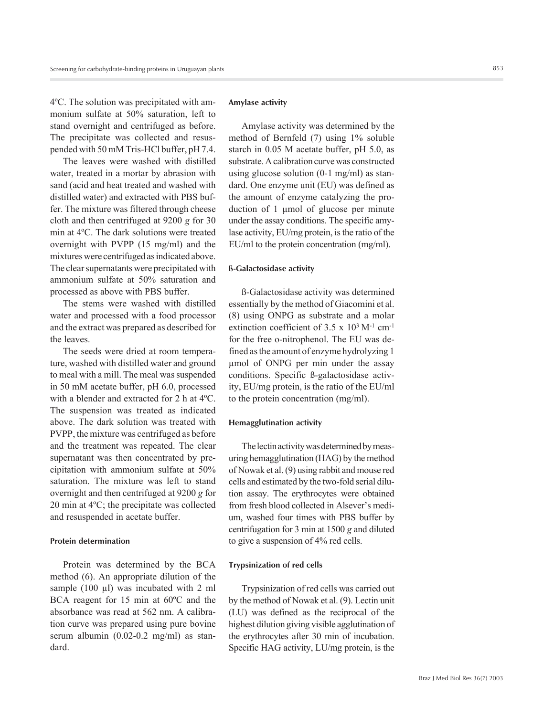4ºC. The solution was precipitated with ammonium sulfate at 50% saturation, left to stand overnight and centrifuged as before. The precipitate was collected and resuspended with 50 mM Tris-HCl buffer, pH 7.4.

The leaves were washed with distilled water, treated in a mortar by abrasion with sand (acid and heat treated and washed with distilled water) and extracted with PBS buffer. The mixture was filtered through cheese cloth and then centrifuged at 9200 *g* for 30 min at 4ºC. The dark solutions were treated overnight with PVPP (15 mg/ml) and the mixtures were centrifuged as indicated above. The clear supernatants were precipitated with ammonium sulfate at 50% saturation and processed as above with PBS buffer.

The stems were washed with distilled water and processed with a food processor and the extract was prepared as described for the leaves.

The seeds were dried at room temperature, washed with distilled water and ground to meal with a mill. The meal was suspended in 50 mM acetate buffer, pH 6.0, processed with a blender and extracted for 2 h at 4ºC. The suspension was treated as indicated above. The dark solution was treated with PVPP, the mixture was centrifuged as before and the treatment was repeated. The clear supernatant was then concentrated by precipitation with ammonium sulfate at 50% saturation. The mixture was left to stand overnight and then centrifuged at 9200 *g* for 20 min at 4ºC; the precipitate was collected and resuspended in acetate buffer.

## **Protein determination**

Protein was determined by the BCA method (6). An appropriate dilution of the sample (100 µl) was incubated with 2 ml BCA reagent for 15 min at 60ºC and the absorbance was read at 562 nm. A calibration curve was prepared using pure bovine serum albumin (0.02-0.2 mg/ml) as standard.

#### **Amylase activity**

Amylase activity was determined by the method of Bernfeld (7) using 1% soluble starch in 0.05 M acetate buffer, pH 5.0, as substrate. A calibration curve was constructed using glucose solution (0-1 mg/ml) as standard. One enzyme unit (EU) was defined as the amount of enzyme catalyzing the production of 1 µmol of glucose per minute under the assay conditions. The specific amylase activity, EU/mg protein, is the ratio of the EU/ml to the protein concentration (mg/ml).

## **ß-Galactosidase activity**

ß-Galactosidase activity was determined essentially by the method of Giacomini et al. (8) using ONPG as substrate and a molar extinction coefficient of  $3.5 \times 10^3$  M<sup>-1</sup> cm<sup>-1</sup> for the free o-nitrophenol. The EU was defined as the amount of enzyme hydrolyzing 1 µmol of ONPG per min under the assay conditions. Specific ß-galactosidase activity, EU/mg protein, is the ratio of the EU/ml to the protein concentration (mg/ml).

## **Hemagglutination activity**

The lectin activity was determined by measuring hemagglutination (HAG) by the method of Nowak et al. (9) using rabbit and mouse red cells and estimated by the two-fold serial dilution assay. The erythrocytes were obtained from fresh blood collected in Alsever's medium, washed four times with PBS buffer by centrifugation for 3 min at 1500 *g* and diluted to give a suspension of 4% red cells.

## **Trypsinization of red cells**

Trypsinization of red cells was carried out by the method of Nowak et al. (9). Lectin unit (LU) was defined as the reciprocal of the highest dilution giving visible agglutination of the erythrocytes after 30 min of incubation. Specific HAG activity, LU/mg protein, is the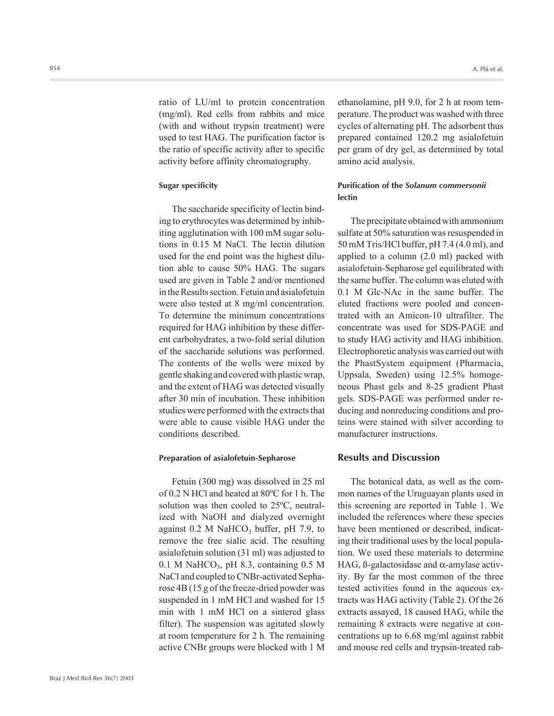ratio of LU/ml to protein concentration (mg/ml). Red cells from rabbits and mice (with and without trypsin treatment) were used to test HAG. The purification factor is the ratio of specific activity after to specific activity before affinity chromatography.

#### **Sugar specificity**

The saccharide specificity of lectin binding to erythrocytes was determined by inhibiting agglutination with 100 mM sugar solutions in 0.15 M NaCl. The lectin dilution used for the end point was the highest dilution able to cause 50% HAG. The sugars used are given in Table 2 and/or mentioned in the Results section. Fetuin and asialofetuin were also tested at 8 mg/ml concentration. To determine the minimum concentrations required for HAG inhibition by these different carbohydrates, a two-fold serial dilution of the saccharide solutions was performed. The contents of the wells were mixed by gentle shaking and covered with plastic wrap, and the extent of HAG was detected visually after 30 min of incubation. These inhibition studies were performed with the extracts that were able to cause visible HAG under the conditions described.

## **Preparation of asialofetuin-Sepharose**

Fetuin (300 mg) was dissolved in 25 ml of 0.2 N HCl and heated at 80ºC for 1 h. The solution was then cooled to 25ºC, neutralized with NaOH and dialyzed overnight against  $0.2$  M NaHCO<sub>3</sub> buffer, pH 7.9, to remove the free sialic acid. The resulting asialofetuin solution (31 ml) was adjusted to 0.1 M NaHCO<sub>3</sub>, pH 8.3, containing 0.5 M NaCl and coupled to CNBr-activated Sepharose 4B (15 g of the freeze-dried powder was suspended in 1 mM HCl and washed for 15 min with 1 mM HCl on a sintered glass filter). The suspension was agitated slowly at room temperature for 2 h. The remaining active CNBr groups were blocked with 1 M

ethanolamine, pH 9.0, for 2 h at room temperature. The product was washed with three cycles of alternating pH. The adsorbent thus prepared contained 120.2 mg asialofetuin per gram of dry gel, as determined by total amino acid analysis.

# **Purification of the** *Solanum commersonii* **lectin**

The precipitate obtained with ammonium sulfate at 50% saturation was resuspended in 50 mM Tris/HCl buffer, pH 7.4 (4.0 ml), and applied to a column (2.0 ml) packed with asialofetuin-Sepharose gel equilibrated with the same buffer. The column was eluted with 0.1 M Glc-NAc in the same buffer. The eluted fractions were pooled and concentrated with an Amicon-10 ultrafilter. The concentrate was used for SDS-PAGE and to study HAG activity and HAG inhibition. Electrophoretic analysis was carried out with the PhastSystem equipment (Pharmacia, Uppsala, Sweden) using 12.5% homogeneous Phast gels and 8-25 gradient Phast gels. SDS-PAGE was performed under reducing and nonreducing conditions and proteins were stained with silver according to manufacturer instructions.

## **Results and Discussion**

The botanical data, as well as the common names of the Uruguayan plants used in this screening are reported in Table 1. We included the references where these species have been mentioned or described, indicating their traditional uses by the local population. We used these materials to determine HAG,  $\beta$ -galactosidase and  $\alpha$ -amylase activity. By far the most common of the three tested activities found in the aqueous extracts was HAG activity (Table 2). Of the 26 extracts assayed, 18 caused HAG, while the remaining 8 extracts were negative at concentrations up to 6.68 mg/ml against rabbit and mouse red cells and trypsin-treated rab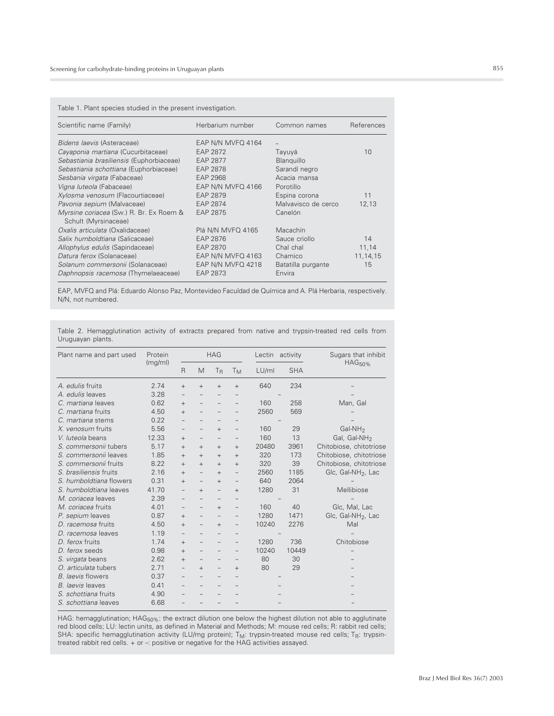Table 1. Plant species studied in the present investigation.

| Scientific name (Family)                                        | Herbarium number  | Common names        | References |
|-----------------------------------------------------------------|-------------------|---------------------|------------|
| Bidens laevis (Asteraceae)                                      | EAP N/N MVFQ 4164 | $\qquad \qquad -$   |            |
| Cayaponia martiana (Cucurbitaceae)                              | EAP 2872          | Tayuyá              | 10         |
| Sebastiania brasiliensis (Euphorbiaceae)                        | EAP 2877          | Blanguillo          |            |
| Sebastiania schottiana (Euphorbiaceae)                          | EAP 2878          | Sarandí negro       |            |
| Sesbania virgata (Fabaceae)                                     | EAP 2968          | Acacia mansa        |            |
| Vigna luteola (Fabaceae)                                        | EAP N/N MVFQ 4166 | Porotillo           |            |
| Xylosma venosum (Flacourtiaceae)                                | EAP 2879          | Espina corona       | 11         |
| Pavonia sepium (Malvaceae)                                      | EAP 2874          | Malvavisco de cerco | 12,13      |
| Myrsine coriacea (Sw.) R. Br. Ex Roem &<br>Schult (Myrsinaceae) | EAP 2875          | Canelón             |            |
| Oxalis articulata (Oxalidaceae)                                 | Plá N/N MVFQ 4165 | Macachín            |            |
| Salix humboldtiana (Salicaceae)                                 | EAP 2876          | Sauce criollo       | 14         |
| Allophylus edulis (Sapindaceae)                                 | EAP 2870          | Chal chal           | 11,14      |
| Datura ferox (Solanaceae)                                       | EAP N/N MVFQ 4163 | Chamico             | 11, 14, 15 |
| Solanum commersonii (Solanaceae)                                | EAP N/N MVFQ 4218 | Batatilla purgante  | 15         |
| Daphnopsis racemosa (Thymelaeaceae)                             | EAP 2873          | Envira              |            |

EAP, MVFQ and Plá: Eduardo Alonso Paz, Montevideo Faculdad de Química and A. Plá Herbaria, respectively. N/N, not numbered.

| Table 2. Hemagglutination activity of extracts prepared from native and trypsin-treated red cells from |  |  |  |  |  |  |
|--------------------------------------------------------------------------------------------------------|--|--|--|--|--|--|
| Uruguayan plants.                                                                                      |  |  |  |  |  |  |

| Plant name and part used | Protein |                   | <b>HAG</b>               |                          |                          |       | Lectin activity | Sugars that inhibit            |  |
|--------------------------|---------|-------------------|--------------------------|--------------------------|--------------------------|-------|-----------------|--------------------------------|--|
|                          | (mg/ml) | $\mathsf{R}$      | M                        | T <sub>R</sub>           | <b>T</b> <sub>M</sub>    | LU/ml | <b>SHA</b>      | HAG <sub>50%</sub>             |  |
| A. edulis fruits         | 2.74    | $^{+}$            | $+$                      | $+$                      | $^{+}$                   | 640   | 234             |                                |  |
| A. edulis leaves         | 3.28    |                   |                          |                          |                          |       |                 |                                |  |
| C. martiana leaves       | 0.62    | $^{+}$            | $\overline{\phantom{m}}$ | $\qquad \qquad -$        | $\overline{\phantom{m}}$ | 160   | 258             | Man, Gal                       |  |
| C. martiana fruits       | 4.50    | $^{+}$            |                          |                          |                          | 2560  | 569             |                                |  |
| C. martiana stems        | 0.22    |                   |                          |                          |                          |       |                 |                                |  |
| X. venosum fruits        | 5.56    | $\qquad \qquad -$ |                          | $^{+}$                   | $\qquad \qquad -$        | 160   | 29              | Gal-NH <sub>2</sub>            |  |
| V. luteola beans         | 12.33   | $+$               | -                        |                          | -                        | 160   | 13              | Gal, Gal-NH <sub>2</sub>       |  |
| S. commersonii tubers    | 5.17    | $^{+}$            | $^{+}$                   | $^{+}$                   | $^{+}$                   | 20480 | 3961            | Chitobiose, chitotriose        |  |
| S. commersonii leaves    | 1.85    | $^{+}$            | $^{+}$                   | $+$                      | $+$                      | 320   | 173             | Chitobiose, chitotriose        |  |
| S. commersonii fruits    | 8.22    | $^{+}$            | $^{+}$                   | $+$                      | $+$                      | 320   | 39              | Chitobiose, chitotriose        |  |
| S. brasiliensis fruits   | 2.16    | $^{+}$            | $\overline{\phantom{a}}$ | $+$                      | $\qquad \qquad -$        | 2560  | 1185            | Glc, Gal-NH <sub>2</sub> , Lac |  |
| S. humboldtiana flowers  | 0.31    | $+$               | $\overline{\phantom{a}}$ | $+$                      | $\overline{\phantom{m}}$ | 640   | 2064            |                                |  |
| S. humboldtiana leaves   | 41.70   |                   | $^{+}$                   |                          | $+$                      | 1280  | 31              | Mellibiose                     |  |
| M. coriacea leaves       | 2.39    |                   |                          |                          |                          |       |                 |                                |  |
| M. coriacea fruits       | 4.01    |                   |                          | $+$                      | $\qquad \qquad -$        | 160   | 40              | Glc, Mal, Lac                  |  |
| P. sepium leaves         | 0.87    | $+$               | $\overline{\phantom{0}}$ |                          | $\overline{\phantom{0}}$ | 1280  | 1471            | Glc, Gal-NH <sub>2</sub> , Lac |  |
| D. racemosa fruits       | 4.50    | $^{+}$            |                          | $+$                      |                          | 10240 | 2276            | Mal                            |  |
| D. racemosa leaves       | 1.19    |                   |                          |                          |                          |       |                 |                                |  |
| D. ferox fruits          | 1.74    | $+$               |                          |                          |                          | 1280  | 736             | Chitobiose                     |  |
| D. ferox seeds           | 0.98    | $+$               | -                        | -                        | $\overline{\phantom{m}}$ | 10240 | 10449           |                                |  |
| S. virgata beans         | 2.62    | $^{+}$            |                          |                          |                          | 80    | 30              |                                |  |
| O. articulata tubers     | 2.71    |                   | $^{+}$                   | $\overline{\phantom{0}}$ | $+$                      | 80    | 29              |                                |  |
| B. laevis flowers        | 0.37    |                   |                          |                          |                          |       |                 |                                |  |
| <b>B.</b> laevis leaves  | 0.41    |                   |                          |                          |                          |       |                 |                                |  |
| S. schottiana fruits     | 4.90    |                   |                          |                          |                          |       |                 |                                |  |
| S. schottiana leaves     | 6.68    |                   |                          |                          |                          |       |                 |                                |  |

HAG: hemagglutination; HAG<sub>50%</sub>: the extract dilution one below the highest dilution not able to agglutinate<br>red blood cells; LU: lectin units, as defined in Material and Methods; M: mouse red cells; R: rabbit red cells; SHA: specific hemagglutination activity (LU/mg protein); T<sub>M</sub>: trypsin-treated mouse red cells; T<sub>R</sub>: trypsin-<br>treated rabbit red cells. + or -: positive or negative for the HAG activities assayed.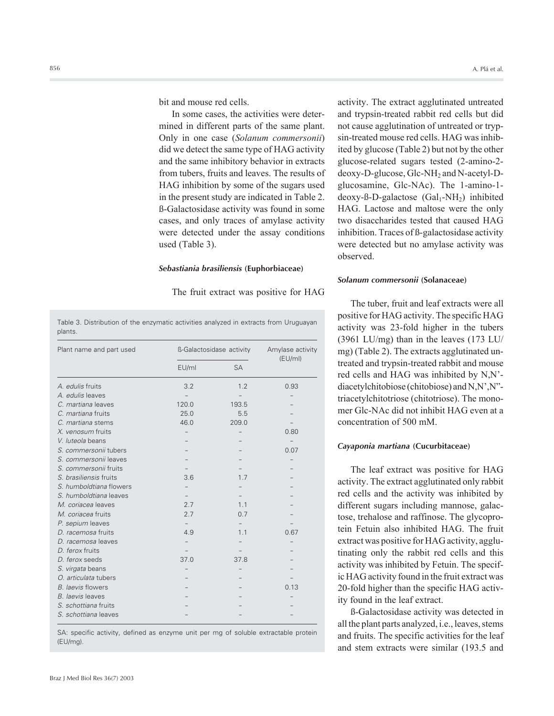bit and mouse red cells.

In some cases, the activities were determined in different parts of the same plant. Only in one case (*Solanum commersonii*) did we detect the same type of HAG activity and the same inhibitory behavior in extracts from tubers, fruits and leaves. The results of HAG inhibition by some of the sugars used in the present study are indicated in Table 2. ß-Galactosidase activity was found in some cases, and only traces of amylase activity were detected under the assay conditions used (Table 3).

#### *Sebastiania brasiliensis* **(Euphorbiaceae)**

The fruit extract was positive for HAG

Table 3. Distribution of the enzymatic activities analyzed in extracts from Uruguayan plants.

| Plant name and part used | ß-Galactosidase activity | Amylase activity |         |
|--------------------------|--------------------------|------------------|---------|
|                          | EU/ml                    | <b>SA</b>        | (EU/ml) |
| A. edulis fruits         | 3.2                      | 1.2              | 0.93    |
| A. edulis leaves         |                          |                  |         |
| C. martiana leaves       | 120.0                    | 193.5            |         |
| C. martiana fruits       | 25.0                     | 5.5              |         |
| C. martiana stems        | 46.0                     | 209.0            |         |
| X. venosum fruits        |                          |                  | 0.80    |
| V. luteola beans         |                          |                  |         |
| S. commersonii tubers    |                          |                  | 0.07    |
| S. commersonii leaves    |                          |                  |         |
| S. commersonii fruits    |                          |                  |         |
| S. brasiliensis fruits   | 3.6                      | 1.7              |         |
| S. humboldtiana flowers  |                          |                  |         |
| S. humboldtiana leaves   |                          |                  |         |
| M. coriacea leaves       | 2.7                      | 1.1              |         |
| M. coriacea fruits       | 2.7                      | 0.7              |         |
| P. sepium leaves         |                          |                  |         |
| D. racemosa fruits       | 4.9                      | 1.1              | 0.67    |
| D. racemosa leaves       |                          |                  |         |
| D. ferox fruits          |                          |                  |         |
| D. ferox seeds           | 37.0                     | 37.8             |         |
| S. virgata beans         |                          |                  |         |
| O. articulata tubers     |                          |                  |         |
| B. laevis flowers        |                          |                  | 0.13    |
| B. laevis leaves         |                          |                  |         |
| S. schottiana fruits     |                          |                  |         |
| S. schottiana leaves     |                          |                  |         |

SA: specific activity, defined as enzyme unit per mg of soluble extractable protein (EU/mg).

activity. The extract agglutinated untreated and trypsin-treated rabbit red cells but did not cause agglutination of untreated or trypsin-treated mouse red cells. HAG was inhibited by glucose (Table 2) but not by the other glucose-related sugars tested (2-amino-2 deoxy-D-glucose, Glc-NH<sub>2</sub> and N-acetyl-Dglucosamine, Glc-NAc). The 1-amino-1  $deoxy-B-D-galactose (Gal<sub>1</sub>-NH<sub>2</sub>)$  inhibited HAG. Lactose and maltose were the only two disaccharides tested that caused HAG inhibition. Traces of ß-galactosidase activity were detected but no amylase activity was observed.

## *Solanum commersonii* **(Solanaceae)**

The tuber, fruit and leaf extracts were all positive for HAG activity. The specific HAG activity was 23-fold higher in the tubers (3961 LU/mg) than in the leaves (173 LU/ mg) (Table 2). The extracts agglutinated untreated and trypsin-treated rabbit and mouse red cells and HAG was inhibited by N,N' diacetylchitobiose (chitobiose) and N,N',N" triacetylchitotriose (chitotriose). The monomer Glc-NAc did not inhibit HAG even at a concentration of 500 mM.

## *Cayaponia martiana* **(Cucurbitaceae)**

The leaf extract was positive for HAG activity. The extract agglutinated only rabbit red cells and the activity was inhibited by different sugars including mannose, galactose, trehalose and raffinose. The glycoprotein Fetuin also inhibited HAG. The fruit extract was positive for HAG activity, agglutinating only the rabbit red cells and this activity was inhibited by Fetuin. The specific HAG activity found in the fruit extract was 20-fold higher than the specific HAG activity found in the leaf extract.

ß-Galactosidase activity was detected in all the plant parts analyzed, i.e., leaves, stems and fruits. The specific activities for the leaf and stem extracts were similar (193.5 and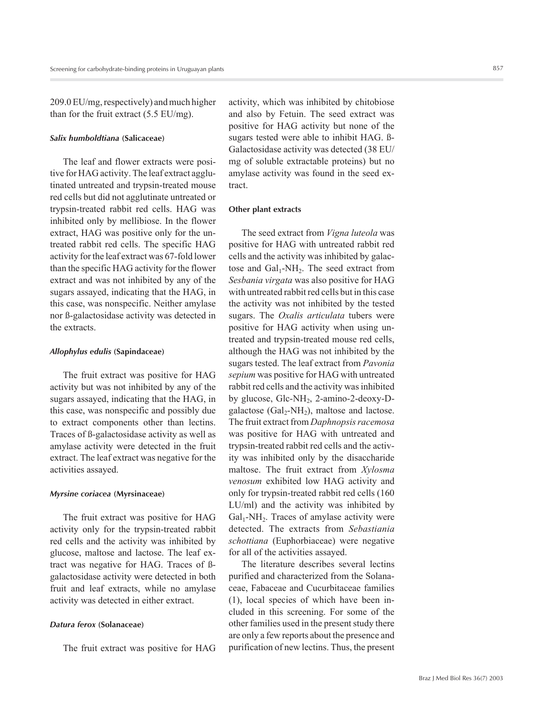209.0 EU/mg, respectively) and much higher than for the fruit extract (5.5 EU/mg).

## *Salix humboldtiana* **(Salicaceae)**

The leaf and flower extracts were positive for HAG activity. The leaf extract agglutinated untreated and trypsin-treated mouse red cells but did not agglutinate untreated or trypsin-treated rabbit red cells. HAG was inhibited only by mellibiose. In the flower extract, HAG was positive only for the untreated rabbit red cells. The specific HAG activity for the leaf extract was 67-fold lower than the specific HAG activity for the flower extract and was not inhibited by any of the sugars assayed, indicating that the HAG, in this case, was nonspecific. Neither amylase nor ß-galactosidase activity was detected in the extracts.

## *Allophylus edulis* **(Sapindaceae)**

The fruit extract was positive for HAG activity but was not inhibited by any of the sugars assayed, indicating that the HAG, in this case, was nonspecific and possibly due to extract components other than lectins. Traces of ß-galactosidase activity as well as amylase activity were detected in the fruit extract. The leaf extract was negative for the activities assayed.

## *Myrsine coriacea* **(Myrsinaceae)**

The fruit extract was positive for HAG activity only for the trypsin-treated rabbit red cells and the activity was inhibited by glucose, maltose and lactose. The leaf extract was negative for HAG. Traces of ßgalactosidase activity were detected in both fruit and leaf extracts, while no amylase activity was detected in either extract.

## *Datura ferox* **(Solanaceae)**

The fruit extract was positive for HAG

activity, which was inhibited by chitobiose and also by Fetuin. The seed extract was positive for HAG activity but none of the sugars tested were able to inhibit HAG. ß-Galactosidase activity was detected (38 EU/ mg of soluble extractable proteins) but no amylase activity was found in the seed extract.

## **Other plant extracts**

The seed extract from *Vigna luteola* was positive for HAG with untreated rabbit red cells and the activity was inhibited by galactose and  $Gal_1$ -NH<sub>2</sub>. The seed extract from *Sesbania virgata* was also positive for HAG with untreated rabbit red cells but in this case the activity was not inhibited by the tested sugars. The *Oxalis articulata* tubers were positive for HAG activity when using untreated and trypsin-treated mouse red cells, although the HAG was not inhibited by the sugars tested. The leaf extract from *Pavonia sepium* was positive for HAG with untreated rabbit red cells and the activity was inhibited by glucose,  $Glc-NH_2$ , 2-amino-2-deoxy-Dgalactose  $(Gal_2-NH_2)$ , maltose and lactose. The fruit extract from *Daphnopsis racemosa* was positive for HAG with untreated and trypsin-treated rabbit red cells and the activity was inhibited only by the disaccharide maltose. The fruit extract from *Xylosma venosum* exhibited low HAG activity and only for trypsin-treated rabbit red cells (160 LU/ml) and the activity was inhibited by  $Gal<sub>1</sub>-NH<sub>2</sub>$ . Traces of amylase activity were detected. The extracts from *Sebastiania schottiana* (Euphorbiaceae) were negative for all of the activities assayed.

The literature describes several lectins purified and characterized from the Solanaceae, Fabaceae and Cucurbitaceae families (1), local species of which have been included in this screening. For some of the other families used in the present study there are only a few reports about the presence and purification of new lectins. Thus, the present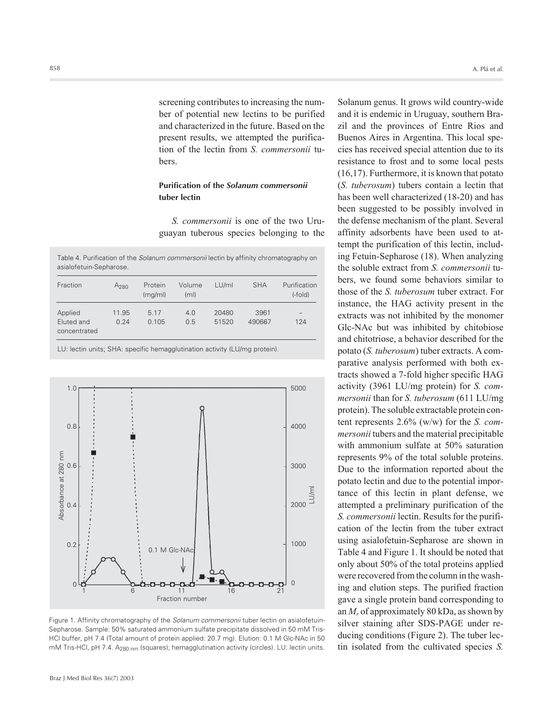screening contributes to increasing the number of potential new lectins to be purified and characterized in the future. Based on the present results, we attempted the purification of the lectin from *S. commersonii* tubers.

## **Purification of the** *Solanum commersonii* **tuber lectin**

*S. commersonii* is one of the two Uruguayan tuberous species belonging to the

Table 4. Purification of the *Solanum commersonii* lectin by affinity chromatography on asialofetuin-Sepharose.

| Fraction                              | A <sub>280</sub> | Protein<br>(mq/ml) | Volume<br>(m <sub>l</sub> ) | LU/ml          | <b>SHA</b>     | Purification<br>$(-fold)$ |
|---------------------------------------|------------------|--------------------|-----------------------------|----------------|----------------|---------------------------|
| Applied<br>Eluted and<br>concentrated | 11.95<br>0.24    | 5.17<br>0.105      | 4.0<br>0.5                  | 20480<br>51520 | 3961<br>490667 | -<br>124                  |

LU: lectin units; SHA: specific hemagglutination activity (LU/mg protein).



Figure 1. Affinity chromatography of the *Solanum commersonii* tuber lectin on asialofetuin-Sepharose. Sample: 50% saturated ammonium sulfate precipitate dissolved in 50 mM Tris-HCl buffer, pH 7.4 (Total amount of protein applied: 20.7 mg). Elution: 0.1 M Glc-NAc in 50 mM Tris-HCl, pH 7.4. A<sub>280 nm</sub> (squares); hemagglutination activity (circles). LU: lectin units.

Solanum genus. It grows wild country-wide and it is endemic in Uruguay, southern Brazil and the provinces of Entre Rios and Buenos Aires in Argentina. This local species has received special attention due to its resistance to frost and to some local pests (16,17). Furthermore, it is known that potato (*S. tuberosum*) tubers contain a lectin that has been well characterized (18-20) and has been suggested to be possibly involved in the defense mechanism of the plant. Several affinity adsorbents have been used to attempt the purification of this lectin, including Fetuin-Sepharose (18). When analyzing the soluble extract from *S. commersonii* tubers, we found some behaviors similar to those of the *S. tuberosum* tuber extract. For instance, the HAG activity present in the extracts was not inhibited by the monomer Glc-NAc but was inhibited by chitobiose and chitotriose, a behavior described for the potato (*S. tuberosum*) tuber extracts. A comparative analysis performed with both extracts showed a 7-fold higher specific HAG activity (3961 LU/mg protein) for *S. commersonii* than for *S. tuberosum* (611 LU/mg protein). The soluble extractable protein content represents 2.6% (w/w) for the *S. commersonii* tubers and the material precipitable with ammonium sulfate at 50% saturation represents 9% of the total soluble proteins. Due to the information reported about the potato lectin and due to the potential importance of this lectin in plant defense, we attempted a preliminary purification of the *S. commersonii* lectin. Results for the purification of the lectin from the tuber extract using asialofetuin-Sepharose are shown in Table 4 and Figure 1. It should be noted that only about 50% of the total proteins applied were recovered from the column in the washing and elution steps. The purified fraction gave a single protein band corresponding to an *Mr* of approximately 80 kDa, as shown by silver staining after SDS-PAGE under reducing conditions (Figure 2). The tuber lectin isolated from the cultivated species *S.*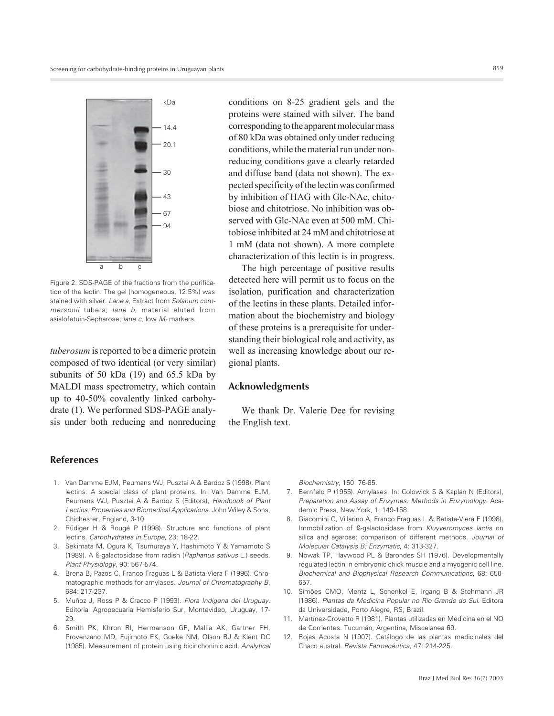

Figure 2. SDS-PAGE of the fractions from the purification of the lectin. The gel (homogeneous, 12.5%) was stained with silver. *Lane a*, Extract from *Solanum commersonii* tubers; *lane b*, material eluted from asialofetuin-Sepharose; *lane c*, low *Mr* markers.

*tuberosum* is reported to be a dimeric protein composed of two identical (or very similar) subunits of 50 kDa (19) and 65.5 kDa by MALDI mass spectrometry, which contain up to 40-50% covalently linked carbohydrate (1). We performed SDS-PAGE analysis under both reducing and nonreducing conditions on 8-25 gradient gels and the proteins were stained with silver. The band corresponding to the apparent molecular mass of 80 kDa was obtained only under reducing conditions, while the material run under nonreducing conditions gave a clearly retarded and diffuse band (data not shown). The expected specificity of the lectin was confirmed by inhibition of HAG with Glc-NAc, chitobiose and chitotriose. No inhibition was observed with Glc-NAc even at 500 mM. Chitobiose inhibited at 24 mM and chitotriose at 1 mM (data not shown). A more complete characterization of this lectin is in progress.

The high percentage of positive results detected here will permit us to focus on the isolation, purification and characterization of the lectins in these plants. Detailed information about the biochemistry and biology of these proteins is a prerequisite for understanding their biological role and activity, as well as increasing knowledge about our regional plants.

## **Acknowledgments**

We thank Dr. Valerie Dee for revising the English text.

# **References**

- 1. Van Damme EJM, Peumans WJ, Pusztai A & Bardoz S (1998). Plant lectins: A special class of plant proteins. In: Van Damme EJM, Peumans WJ, Pusztai A & Bardoz S (Editors), *Handbook of Plant Lectins: Properties and Biomedical Applications*. John Wiley & Sons, Chichester, England, 3-10.
- 2. Rüdiger H & Rougé P (1998). Structure and functions of plant lectins. *Carbohydrates in Europe*, 23: 18-22.
- 3. Sekimata M, Ogura K, Tsumuraya Y, Hashimoto Y & Yamamoto S (1989). A ß-galactosidase from radish (*Raphanus sativus* L.) seeds. *Plant Physiology*, 90: 567-574.
- 4. Brena B, Pazos C, Franco Fraguas L & Batista-Viera F (1996). Chromatographic methods for amylases*. Journal of Chromatography B*, 684: 217-237.
- 5. Muñoz J, Ross P & Cracco P (1993). *Flora Indigena del Uruguay*. Editorial Agropecuaria Hemisferio Sur, Montevideo, Uruguay, 17- 29.
- 6. Smith PK, Khron RI, Hermanson GF, Mallia AK, Gartner FH, Provenzano MD, Fujimoto EK, Goeke NM, Olson BJ & Klent DC (1985). Measurement of protein using bicinchoninic acid. *Analytical*

*Biochemistry*, 150: 76-85.

- 7. Bernfeld P (1955). Amylases. In: Colowick S & Kaplan N (Editors), *Preparation and Assay of Enzymes. Methods in Enzymology.* Academic Press, New York, 1: 149-158.
- 8. Giacomini C, Villarino A, Franco Fraguas L & Batista-Viera F (1998). Immobilization of ß-galactosidase from *Kluyveromyces lactis* on silica and agarose: comparison of different methods. *Journal of Molecular Catalysis B: Enzymatic*, 4: 313-327.
- 9. Nowak TP, Haywood PL & Barondes SH (1976). Developmentally regulated lectin in embryonic chick muscle and a myogenic cell line*. Biochemical and Biophysical Research Communications*, 68: 650- 657.
- 10. Simões CMO, Mentz L, Schenkel E, Irgang B & Stehmann JR (1986). *Plantas da Medicina Popular no Rio Grande do Sul*. Editora da Universidade, Porto Alegre, RS, Brazil.
- 11. Martínez-Crovetto R (1981). Plantas utilizadas en Medicina en el NO de Corrientes. Tucumán, Argentina, Miscelanea 69.
- 12. Rojas Acosta N (1907). Catálogo de las plantas medicinales del Chaco austral. *Revista Farmacéutica*, 47: 214-225.